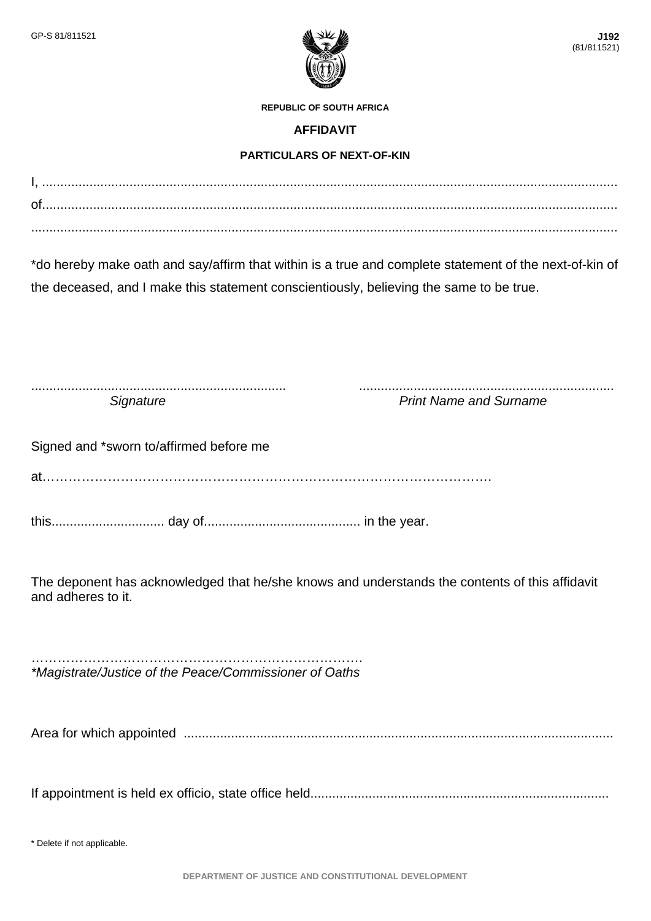

**REPUBLIC OF SOUTH AFRICA** 

## **AFFIDAVIT**

## **PARTICULARS OF NEXT-OF-KIN**

I, .............................................................................................................................................................. of.............................................................................................................................................................. .................................................................................................................................................................

\*do hereby make oath and say/affirm that within is a true and complete statement of the next-of-kin of the deceased, and I make this statement conscientiously, believing the same to be true.

...................................................................... ...................................................................... **Signature Signature** *Signature Signature Print Name and Surname* 

Signed and \*sworn to/affirmed before me

at………………………………………………………………………………………….

this............................... day of........................................... in the year.

The deponent has acknowledged that he/she knows and understands the contents of this affidavit and adheres to it.

…………………………………………………………………. *\*Magistrate/Justice of the Peace/Commissioner of Oaths* 

Area for which appointed ......................................................................................................................

If appointment is held ex officio, state office held..................................................................................

\* Delete if not applicable.